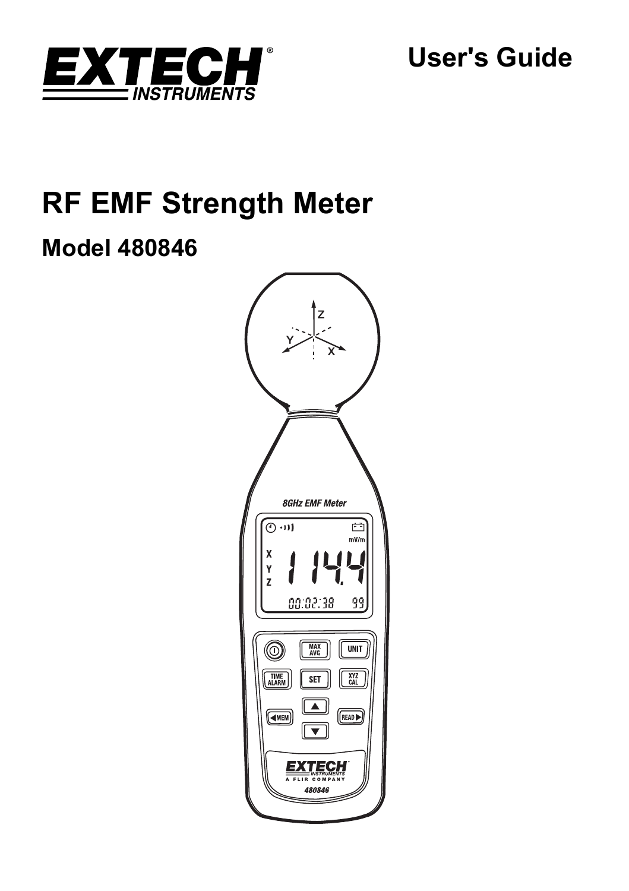

**User's Guide** 

# **RF EMF Strength Meter**

# **Model 480846**

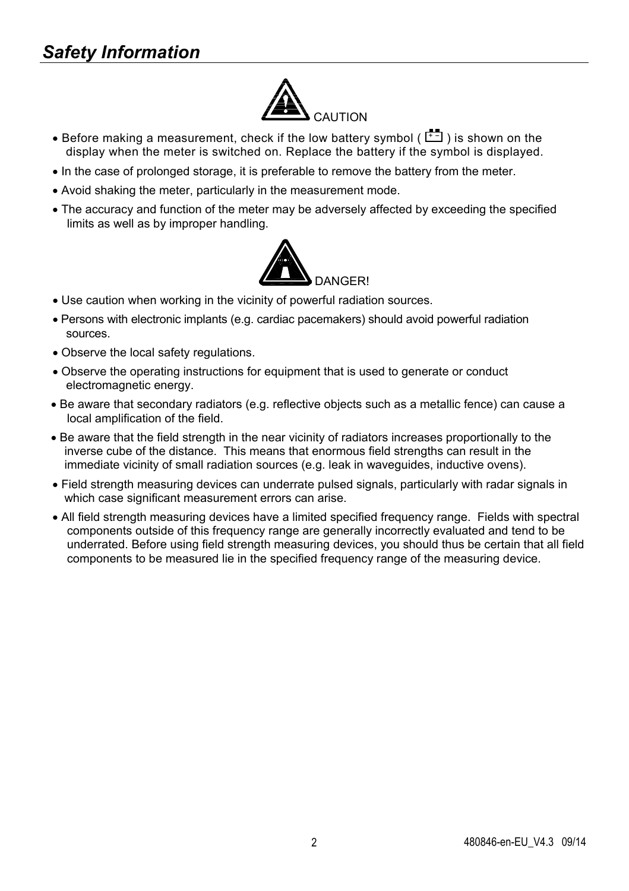# *Safety Information*



- Before making a measurement, check if the low battery symbol ( $\boxed{+1}$ ) is shown on the display when the meter is switched on. Replace the battery if the symbol is displayed.
- In the case of prolonged storage, it is preferable to remove the battery from the meter.
- Avoid shaking the meter, particularly in the measurement mode.
- The accuracy and function of the meter may be adversely affected by exceeding the specified limits as well as by improper handling.



- Use caution when working in the vicinity of powerful radiation sources.
- Persons with electronic implants (e.g. cardiac pacemakers) should avoid powerful radiation sources.
- Observe the local safety regulations.
- Observe the operating instructions for equipment that is used to generate or conduct electromagnetic energy.
- Be aware that secondary radiators (e.g. reflective objects such as a metallic fence) can cause a local amplification of the field.
- Be aware that the field strength in the near vicinity of radiators increases proportionally to the inverse cube of the distance. This means that enormous field strengths can result in the immediate vicinity of small radiation sources (e.g. leak in waveguides, inductive ovens).
- Field strength measuring devices can underrate pulsed signals, particularly with radar signals in which case significant measurement errors can arise.
- All field strength measuring devices have a limited specified frequency range. Fields with spectral components outside of this frequency range are generally incorrectly evaluated and tend to be underrated. Before using field strength measuring devices, you should thus be certain that all field components to be measured lie in the specified frequency range of the measuring device.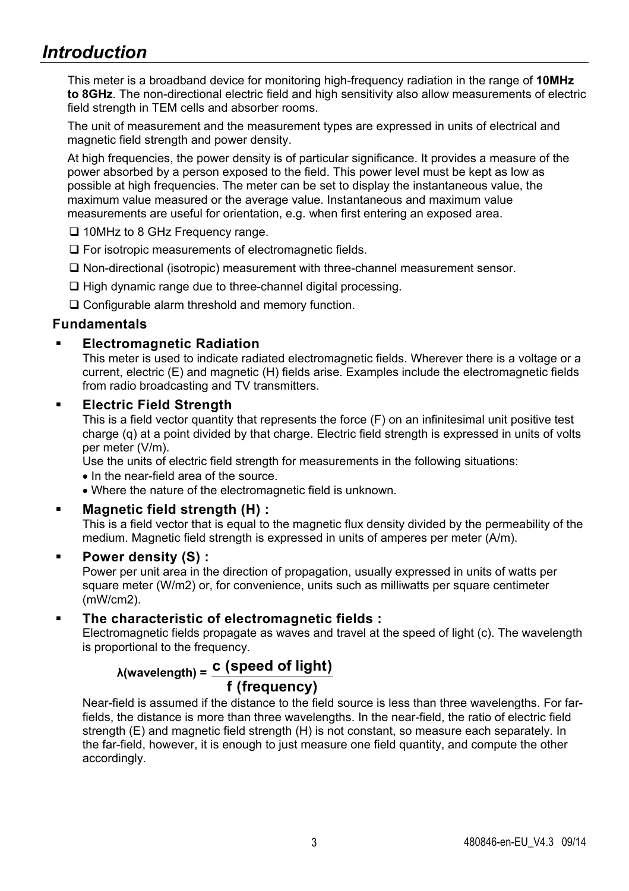# *Introduction*

This meter is a broadband device for monitoring high-frequency radiation in the range of **10MHz to 8GHz**. The non-directional electric field and high sensitivity also allow measurements of electric field strength in TEM cells and absorber rooms.

The unit of measurement and the measurement types are expressed in units of electrical and magnetic field strength and power density.

At high frequencies, the power density is of particular significance. It provides a measure of the power absorbed by a person exposed to the field. This power level must be kept as low as possible at high frequencies. The meter can be set to display the instantaneous value, the maximum value measured or the average value. Instantaneous and maximum value measurements are useful for orientation, e.g. when first entering an exposed area.

- □ 10MHz to 8 GHz Frequency range.
- □ For isotropic measurements of electromagnetic fields.
- Non-directional (isotropic) measurement with three-channel measurement sensor.
- $\Box$  High dynamic range due to three-channel digital processing.

□ Configurable alarm threshold and memory function.

#### **Fundamentals**

#### **Electromagnetic Radiation**

This meter is used to indicate radiated electromagnetic fields. Wherever there is a voltage or a current, electric (E) and magnetic (H) fields arise. Examples include the electromagnetic fields from radio broadcasting and TV transmitters.

#### **Electric Field Strength**

This is a field vector quantity that represents the force (F) on an infinitesimal unit positive test charge (q) at a point divided by that charge. Electric field strength is expressed in units of volts per meter (V/m).

Use the units of electric field strength for measurements in the following situations:

- In the near-field area of the source.
- Where the nature of the electromagnetic field is unknown.

#### **Magnetic field strength (H) :**

This is a field vector that is equal to the magnetic flux density divided by the permeability of the medium. Magnetic field strength is expressed in units of amperes per meter (A/m).

#### **Power density (S) :**

Power per unit area in the direction of propagation, usually expressed in units of watts per square meter (W/m2) or, for convenience, units such as milliwatts per square centimeter (mW/cm2).

#### **The characteristic of electromagnetic fields :**

Electromagnetic fields propagate as waves and travel at the speed of light (c). The wavelength is proportional to the frequency.

## **<sup>λ</sup>(wavelength) = c (speed of light) f (frequency)**

Near-field is assumed if the distance to the field source is less than three wavelengths. For farfields, the distance is more than three wavelengths. In the near-field, the ratio of electric field strength (E) and magnetic field strength (H) is not constant, so measure each separately. In the far-field, however, it is enough to just measure one field quantity, and compute the other accordingly.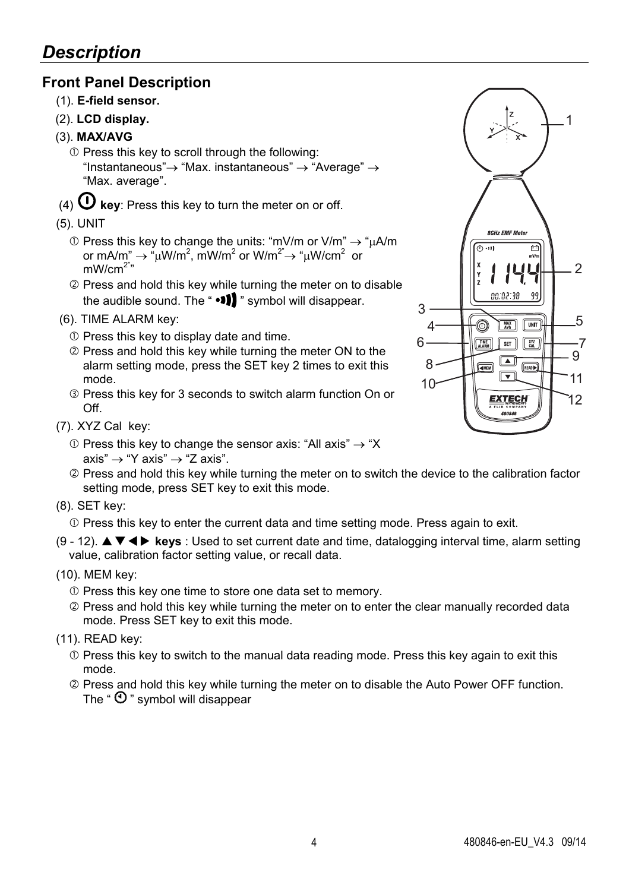### **Front Panel Description**

- (1). **E-field sensor.**
- (2). **LCD display.**
- (3). **MAX/AVG**
	- $<sup>①</sup>$  Press this key to scroll through the following:</sup> "Instantaneous" $\rightarrow$  "Max. instantaneous"  $\rightarrow$  "Average"  $\rightarrow$ "Max. average".
- (4)  $\mathbf{\Theta}$  key: Press this key to turn the meter on or off.
- (5). UNIT
	- $\odot$  Press this key to change the units: "mV/m or V/m"  $\rightarrow$  " $\mu$ A/m or mA/m"  $\rightarrow$  " $\mu$ W/m<sup>2</sup>, mW/m<sup>2</sup> or W/m<sup>2"</sup> $\rightarrow$  " $\mu$ W/cm<sup>2</sup> or  $mW/cm<sup>2</sup>$
	- Press and hold this key while turning the meter on to disable the audible sound. The " $\cdot \cdot \cdot$  " symbol will disappear.
- (6). TIME ALARM key:
	- $O$  Press this key to display date and time.
	- Press and hold this key while turning the meter ON to the alarm setting mode, press the SET key 2 times to exit this mode.
	- Press this key for 3 seconds to switch alarm function On or Off.
- (7). XYZ Cal key:
	- $\odot$  Press this key to change the sensor axis: "All axis"  $\rightarrow$  "X axis"  $\rightarrow$  "Y axis"  $\rightarrow$  "Z axis".
	- Press and hold this key while turning the meter on to switch the device to the calibration factor setting mode, press SET key to exit this mode.
- (8). SET key:

 $\Phi$  Press this key to enter the current data and time setting mode. Press again to exit.

- (9 12). **keys** : Used to set current date and time, datalogging interval time, alarm setting value, calibration factor setting value, or recall data.
- (10). MEM key:
	- Press this key one time to store one data set to memory.
	- Press and hold this key while turning the meter on to enter the clear manually recorded data mode. Press SET key to exit this mode.
- (11). READ key:
	- $\Phi$  Press this key to switch to the manual data reading mode. Press this key again to exit this mode.
	- Press and hold this key while turning the meter on to disable the Auto Power OFF function. The " $\mathbf{\Theta}$ " symbol will disappear

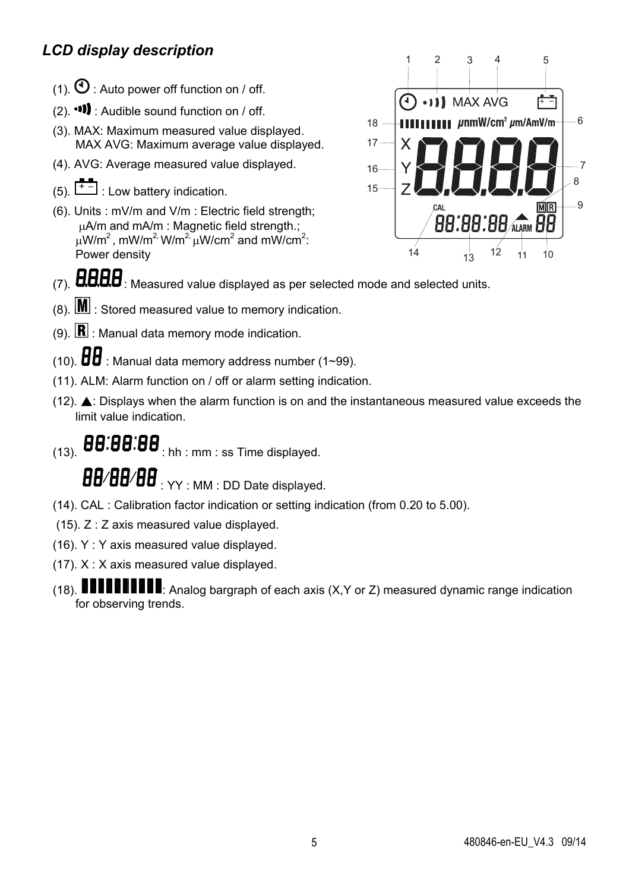# *LCD display description*

- (1).  $\mathbf{O}$  : Auto power off function on / off.
- $(2)$ .  $\bullet$  **11** : Audible sound function on / off.
- (3). MAX: Maximum measured value displayed. MAX AVG: Maximum average value displayed.
- (4). AVG: Average measured value displayed.
- $(5)$ .  $\begin{bmatrix} + & \\ + & \end{bmatrix}$ : Low battery indication.
- (6). Units : mV/m and V/m : Electric field strength; uA/m and mA/m : Magnetic field strength.;  $\mu$ W/m<sup>2</sup>, mW/m<sup>2,</sup> W/m<sup>2,</sup>  $\mu$ W/cm<sup>2</sup> and mW/cm<sup>2</sup>: Power density



- $(7)$ .  $\mathbf{H}\mathbf{H}\mathbf{H}\mathbf{B}$ : Measured value displayed as per selected mode and selected units.
- $(8)$ .  $\boxed{\text{M}}$  : Stored measured value to memory indication.
- (9).  $\mathbf{R}$  : Manual data memory mode indication.
- (10).  $\overline{H}$  : Manual data memory address number (1~99).
- (11). ALM: Alarm function on / off or alarm setting indication.
- (12). ▲: Displays when the alarm function is on and the instantaneous measured value exceeds the limit value indication.

 $(13)$ .  $\boldsymbol{B}\boldsymbol{B}$ : $\boldsymbol{B}\boldsymbol{B}$ : $\boldsymbol{B}\boldsymbol{B}$  : hh : mm : ss Time displayed.

BB/BB/BB: YY : MM : DD Date displayed.

- (14). CAL : Calibration factor indication or setting indication (from 0.20 to 5.00).
- (15). Z : Z axis measured value displayed.
- (16). Y : Y axis measured value displayed.
- (17). X : X axis measured value displayed.
- (18) **NUMBER 18**: Analog bargraph of each axis (X,Y or Z) measured dynamic range indication for observing trends.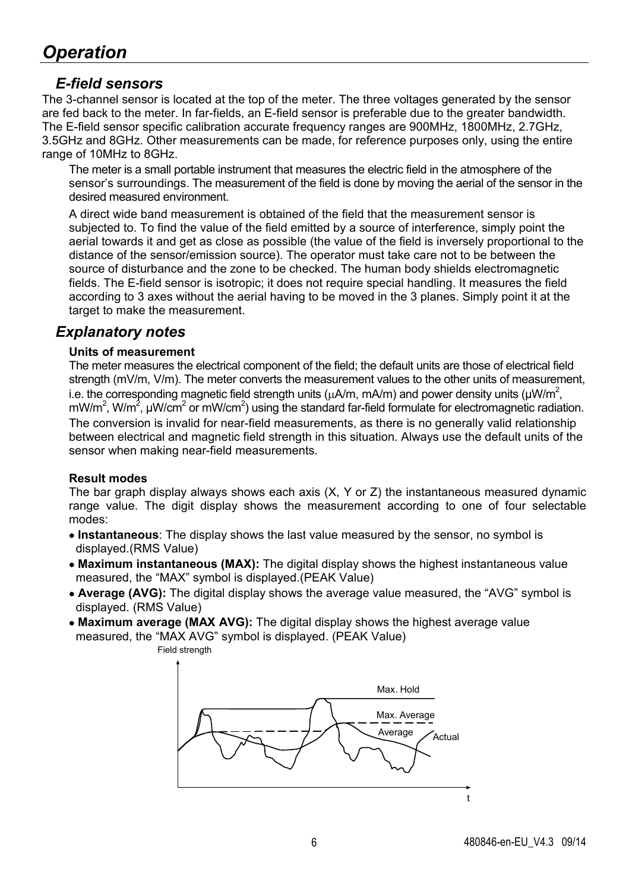#### *E-field sensors*

The 3-channel sensor is located at the top of the meter. The three voltages generated by the sensor are fed back to the meter. In far-fields, an E-field sensor is preferable due to the greater bandwidth. The E-field sensor specific calibration accurate frequency ranges are 900MHz, 1800MHz, 2.7GHz, 3.5GHz and 8GHz. Other measurements can be made, for reference purposes only, using the entire range of 10MHz to 8GHz.

The meter is a small portable instrument that measures the electric field in the atmosphere of the sensor's surroundings. The measurement of the field is done by moving the aerial of the sensor in the desired measured environment.

A direct wide band measurement is obtained of the field that the measurement sensor is subjected to. To find the value of the field emitted by a source of interference, simply point the aerial towards it and get as close as possible (the value of the field is inversely proportional to the distance of the sensor/emission source). The operator must take care not to be between the source of disturbance and the zone to be checked. The human body shields electromagnetic fields. The E-field sensor is isotropic; it does not require special handling. It measures the field according to 3 axes without the aerial having to be moved in the 3 planes. Simply point it at the target to make the measurement.

### *Explanatory notes*

#### **Units of measurement**

The meter measures the electrical component of the field; the default units are those of electrical field strength (mV/m, V/m). The meter converts the measurement values to the other units of measurement, i.e. the corresponding magnetic field strength units ( $\mu$ A/m, mA/m) and power density units ( $\mu$ W/m<sup>2</sup>, mW/m<sup>2</sup>, W/m<sup>2</sup>, µW/cm<sup>2</sup> or mW/cm<sup>2</sup>) using the standard far-field formulate for electromagnetic radiation. The conversion is invalid for near-field measurements, as there is no generally valid relationship between electrical and magnetic field strength in this situation. Always use the default units of the sensor when making near-field measurements.

#### **Result modes**

The bar graph display always shows each axis (X, Y or Z) the instantaneous measured dynamic range value. The digit display shows the measurement according to one of four selectable modes:

- **Instantaneous**: The display shows the last value measured by the sensor, no symbol is displayed.(RMS Value)
- **Maximum instantaneous (MAX):** The digital display shows the highest instantaneous value measured, the "MAX" symbol is displayed.(PEAK Value)
- **Average (AVG):** The digital display shows the average value measured, the "AVG" symbol is displayed. (RMS Value)
- **Maximum average (MAX AVG):** The digital display shows the highest average value measured, the "MAX AVG" symbol is displayed. (PEAK Value)



Field strength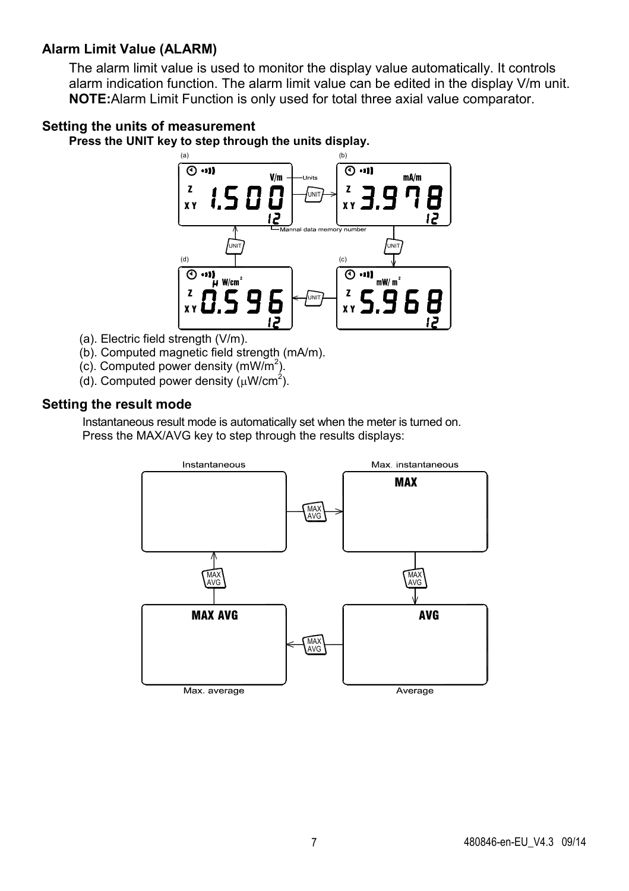#### **Alarm Limit Value (ALARM)**

The alarm limit value is used to monitor the display value automatically. It controls alarm indication function. The alarm limit value can be edited in the display V/m unit. **NOTE:**Alarm Limit Function is only used for total three axial value comparator.

#### **Setting the units of measurement**

**Press the UNIT key to step through the units display.** 



- (a). Electric field strength (V/m).
- (b). Computed magnetic field strength (mA/m).
- $(c)$ . Computed power density  $(mW/m<sup>2</sup>)$ .
- (d). Computed power density  $(\mu W/cm^2)$ .

#### **Setting the result mode**

Instantaneous result mode is automatically set when the meter is turned on. Press the MAX/AVG key to step through the results displays:

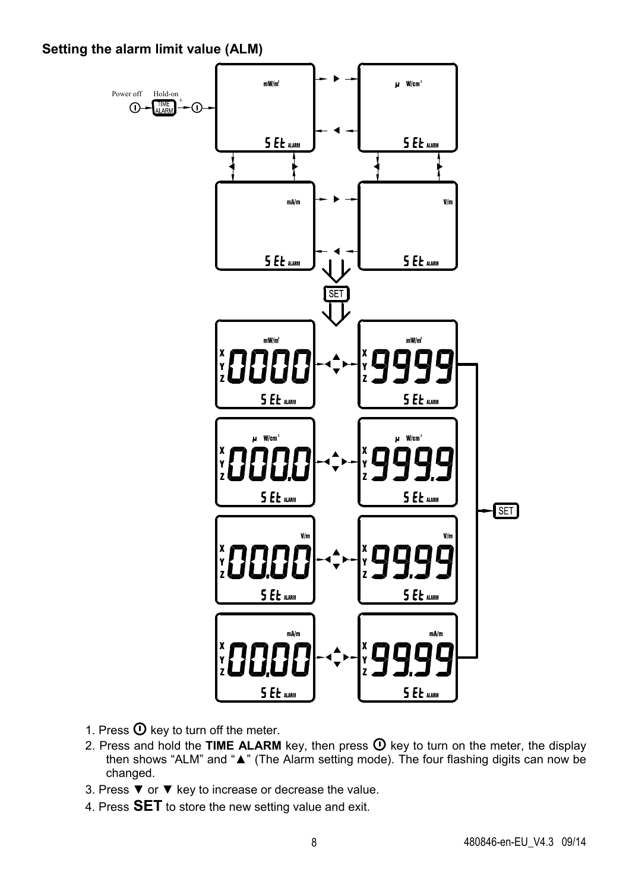**Setting the alarm limit value (ALM)** 



- 1. Press  $\Phi$  key to turn off the meter.
- 2. Press and hold the **TIME ALARM** key, then press  $\Phi$  key to turn on the meter, the display then shows "ALM" and "**▲**" (The Alarm setting mode). The four flashing digits can now be changed.
- 3. Press ▼ or ▼ key to increase or decrease the value.
- 4. Press **SET** to store the new setting value and exit.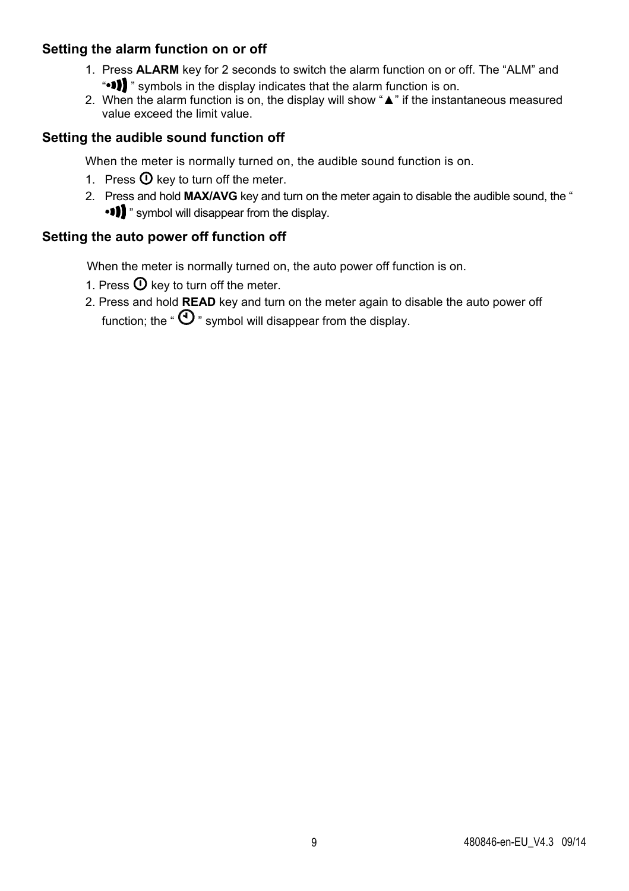#### **Setting the alarm function on or off**

- 1. Press **ALARM** key for 2 seconds to switch the alarm function on or off. The "ALM" and ".<sup>1</sup> symbols in the display indicates that the alarm function is on.
- 2. When the alarm function is on, the display will show "**▲**" if the instantaneous measured value exceed the limit value.

#### **Setting the audible sound function off**

When the meter is normally turned on, the audible sound function is on.

- 1. Press  $\mathbf 0$  key to turn off the meter.
- 2. Press and hold **MAX/AVG** key and turn on the meter again to disable the audible sound, the " " symbol will disappear from the display.

#### **Setting the auto power off function off**

When the meter is normally turned on, the auto power off function is on.

- 1. Press  $\Phi$  key to turn off the meter.
- 2. Press and hold **READ** key and turn on the meter again to disable the auto power off function: the " $\mathbf{O}$ " symbol will disappear from the display.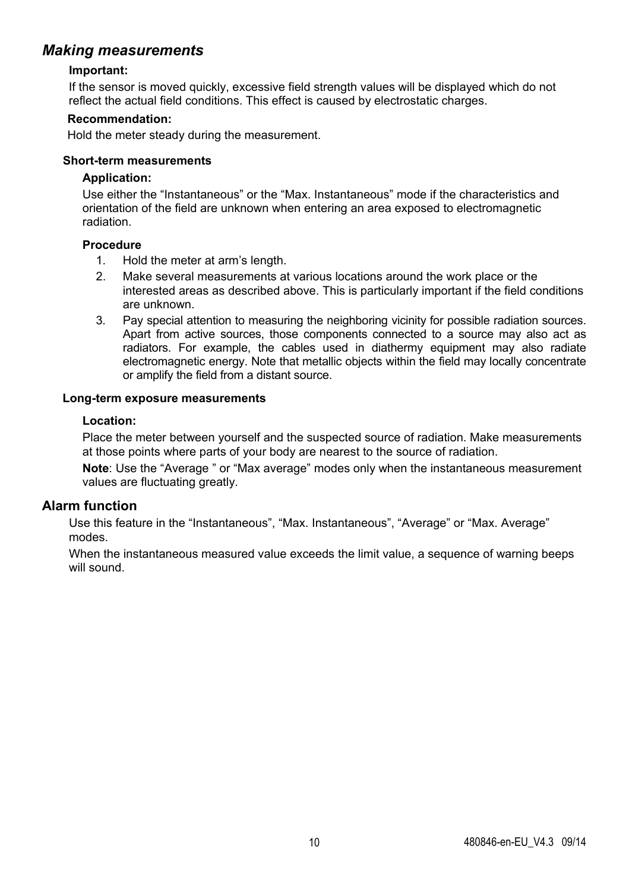#### *Making measurements*

#### **Important:**

If the sensor is moved quickly, excessive field strength values will be displayed which do not reflect the actual field conditions. This effect is caused by electrostatic charges.

#### **Recommendation:**

Hold the meter steady during the measurement.

#### **Short-term measurements**

#### **Application:**

Use either the "Instantaneous" or the "Max. Instantaneous" mode if the characteristics and orientation of the field are unknown when entering an area exposed to electromagnetic radiation.

#### **Procedure**

- 1. Hold the meter at arm's length.
- 2. Make several measurements at various locations around the work place or the interested areas as described above. This is particularly important if the field conditions are unknown.
- 3. Pay special attention to measuring the neighboring vicinity for possible radiation sources. Apart from active sources, those components connected to a source may also act as radiators. For example, the cables used in diathermy equipment may also radiate electromagnetic energy. Note that metallic objects within the field may locally concentrate or amplify the field from a distant source.

#### **Long-term exposure measurements**

#### **Location:**

Place the meter between yourself and the suspected source of radiation. Make measurements at those points where parts of your body are nearest to the source of radiation.

**Note**: Use the "Average " or "Max average" modes only when the instantaneous measurement values are fluctuating greatly.

#### **Alarm function**

Use this feature in the "Instantaneous", "Max. Instantaneous", "Average" or "Max. Average" modes.

When the instantaneous measured value exceeds the limit value, a sequence of warning beeps will sound.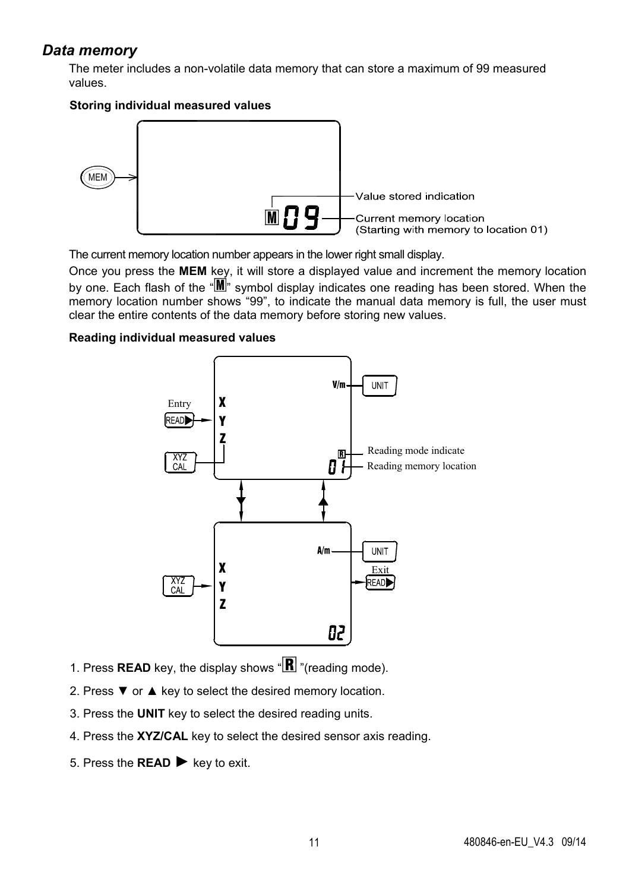#### *Data memory*

The meter includes a non-volatile data memory that can store a maximum of 99 measured values.

#### **Storing individual measured values**



The current memory location number appears in the lower right small display.

Once you press the **MEM** key, it will store a displayed value and increment the memory location by one. Each flash of the "MM" symbol display indicates one reading has been stored. When the memory location number shows "99", to indicate the manual data memory is full, the user must clear the entire contents of the data memory before storing new values.

#### **Reading individual measured values**



- 1. Press **READ** key, the display shows " $\mathbb{R}$ " (reading mode).
- 2. Press  $\blacktriangledown$  or ▲ key to select the desired memory location.
- 3. Press the **UNIT** key to select the desired reading units.
- 4. Press the **XYZ/CAL** key to select the desired sensor axis reading.
- 5. Press the **READ** ► key to exit.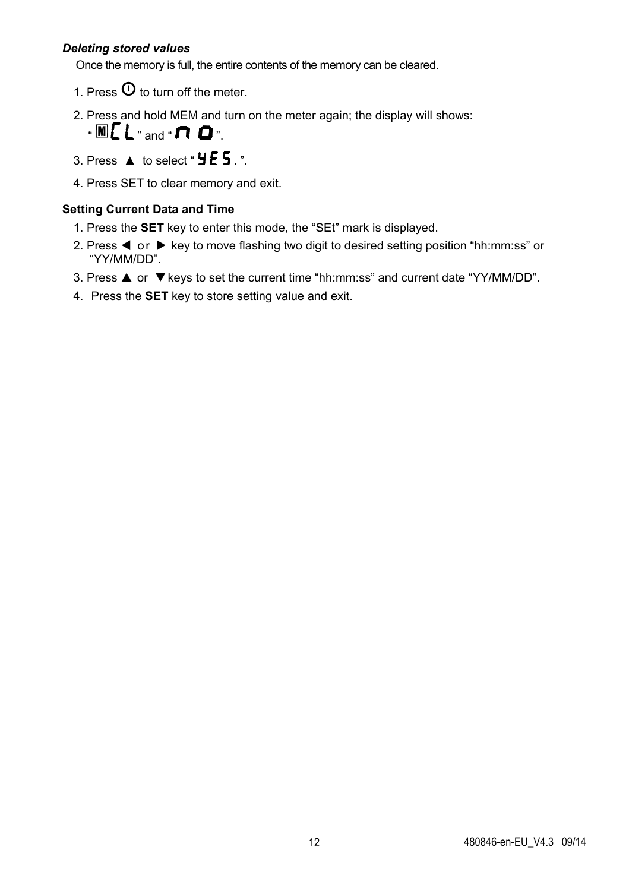#### *Deleting stored values*

Once the memory is full, the entire contents of the memory can be cleared.

- 1. Press  $\Phi$  to turn off the meter.
- 2. Press and hold MEM and turn on the meter again; the display will shows:



- 3. Press  $\triangle$  to select "  $\angle$  E 5. ".
- 4. Press SET to clear memory and exit.

#### **Setting Current Data and Time**

- 1. Press the **SET** key to enter this mode, the "SEt" mark is displayed.
- 2. Press  $\blacktriangleleft$  or  $\blacktriangleright$  key to move flashing two digit to desired setting position "hh:mm:ss" or "YY/MM/DD".
- 3. Press  $\triangle$  or  $\nabla$  keys to set the current time "hh:mm:ss" and current date "YY/MM/DD".
- 4. Press the **SET** key to store setting value and exit.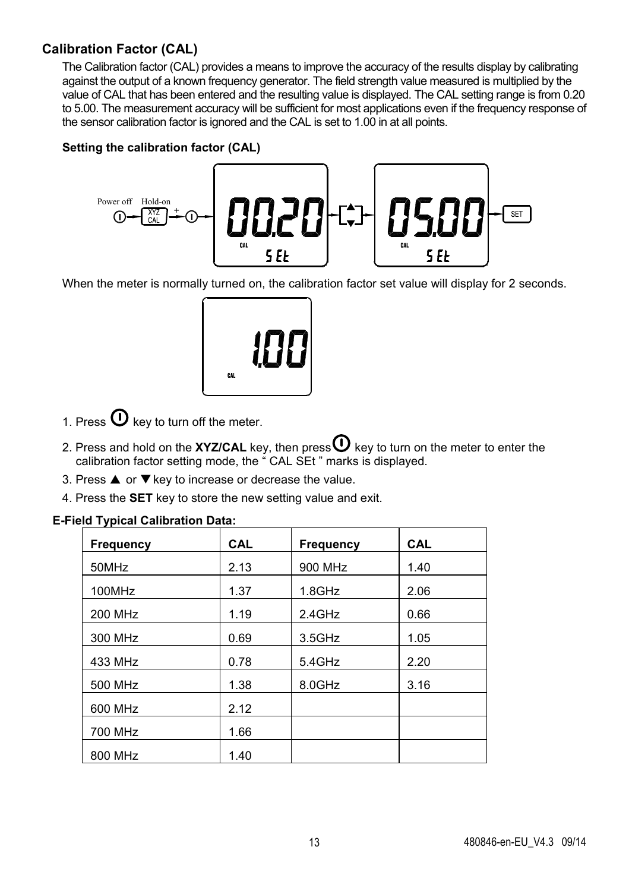#### **Calibration Factor (CAL)**

The Calibration factor (CAL) provides a means to improve the accuracy of the results display by calibrating against the output of a known frequency generator. The field strength value measured is multiplied by the value of CAL that has been entered and the resulting value is displayed. The CAL setting range is from 0.20 to 5.00. The measurement accuracy will be sufficient for most applications even if the frequency response of the sensor calibration factor is ignored and the CAL is set to 1.00 in at all points.

#### **Setting the calibration factor (CAL)**



When the meter is normally turned on, the calibration factor set value will display for 2 seconds.



- 1. Press  $\mathbf 0$  key to turn off the meter.
- 2. Press and hold on the **XYZ/CAL** key, then press  $\mathbf{0}$  key to turn on the meter to enter the calibration factor setting mode, the " CAL SEt " marks is displayed.
- 3. Press  $\triangle$  or  $\nabla$  key to increase or decrease the value.
- 4. Press the **SET** key to store the new setting value and exit.

#### **E-Field Typical Calibration Data:**

| Frequency | <b>CAL</b> | Frequency | <b>CAL</b> |
|-----------|------------|-----------|------------|
| 50MHz     | 2.13       | 900 MHz   | 1.40       |
| 100MHz    | 1.37       | $1.8$ GHz | 2.06       |
| 200 MHz   | 1.19       | 2.4GHz    | 0.66       |
| 300 MHz   | 0.69       | $3.5$ GHz | 1.05       |
| 433 MHz   | 0.78       | 5.4GHz    | 2.20       |
| 500 MHz   | 1.38       | 8.0GHz    | 3.16       |
| 600 MHz   | 2.12       |           |            |
| 700 MHz   | 1.66       |           |            |
| 800 MHz   | 1.40       |           |            |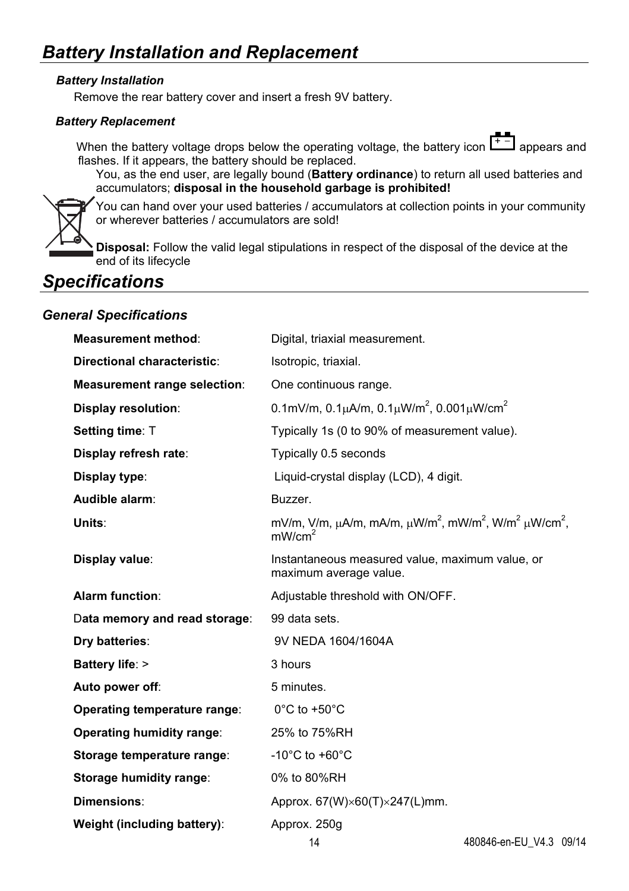#### *Battery Installation*

Remove the rear battery cover and insert a fresh 9V battery.

#### *Battery Replacement*

When the battery voltage drops below the operating voltage, the battery icon  $\begin{bmatrix} + & - \\ - & \end{bmatrix}$  appears and flashes. If it appears, the battery should be replaced.

You, as the end user, are legally bound (**Battery ordinance**) to return all used batteries and accumulators; **disposal in the household garbage is prohibited!**

You can hand over your used batteries / accumulators at collection points in your community or wherever batteries / accumulators are sold!

**Disposal:** Follow the valid legal stipulations in respect of the disposal of the device at the end of its lifecycle

# *Specifications*

#### *General Specifications*

| <b>Measurement method:</b>          | Digital, triaxial measurement.                                                                                       |
|-------------------------------------|----------------------------------------------------------------------------------------------------------------------|
| Directional characteristic:         | Isotropic, triaxial.                                                                                                 |
| <b>Measurement range selection:</b> | One continuous range.                                                                                                |
| <b>Display resolution:</b>          | 0.1mV/m, 0.1 $\mu$ A/m, 0.1 $\mu$ W/m <sup>2</sup> , 0.001 $\mu$ W/cm <sup>2</sup>                                   |
| Setting time: T                     | Typically 1s (0 to 90% of measurement value).                                                                        |
| Display refresh rate:               | Typically 0.5 seconds                                                                                                |
| Display type:                       | Liquid-crystal display (LCD), 4 digit.                                                                               |
| Audible alarm:                      | Buzzer.                                                                                                              |
| Units:                              | mV/m, V/m, $\mu A/m$ , mA/m, $\mu W/m^2$ , mW/m <sup>2</sup> , W/m <sup>2</sup> $\mu W/cm^2$ ,<br>mW/cm <sup>2</sup> |
| Display value:                      | Instantaneous measured value, maximum value, or<br>maximum average value.                                            |
|                                     |                                                                                                                      |
| <b>Alarm function:</b>              | Adjustable threshold with ON/OFF.                                                                                    |
| Data memory and read storage:       | 99 data sets.                                                                                                        |
| Dry batteries:                      | 9V NEDA 1604/1604A                                                                                                   |
| Battery life: >                     | 3 hours                                                                                                              |
| Auto power off:                     | 5 minutes.                                                                                                           |
| Operating temperature range:        | $0^{\circ}$ C to +50 $^{\circ}$ C                                                                                    |
| Operating humidity range:           | 25% to 75%RH                                                                                                         |
| Storage temperature range:          | $-10^{\circ}$ C to $+60^{\circ}$ C                                                                                   |
| Storage humidity range:             | 0% to 80%RH                                                                                                          |
| Dimensions:                         | Approx. $67(W)\times 60(T)\times 247(L)$ mm.                                                                         |